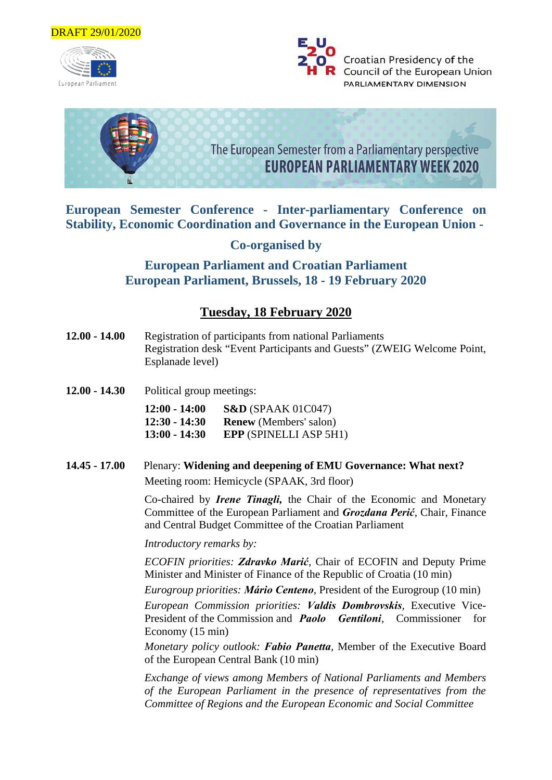

European Parliament





**European Semester Conference - Inter-parliamentary Conference on Stability, Economic Coordination and Governance in the European Union -**

**Co-organised by** 

**European Parliament and Croatian Parliament European Parliament, Brussels, 18 - 19 February 2020**

# **Tuesday, 18 February 2020**

- **12.00 14.00** Registration of participants from national Parliaments Registration desk "Event Participants and Guests" (ZWEIG Welcome Point, Esplanade level)
- **12.00 14.30** Political group meetings:

**12:00 - 14:00 S&D** (SPAAK 01C047) **12:30 - 14:30 Renew** (Members' salon) **13:00 - 14:30 EPP** (SPINELLI ASP 5H1)

**14.45 - 17.00** Plenary: **Widening and deepening of EMU Governance: What next?**  Meeting room: Hemicycle (SPAAK, 3rd floor)

> Co-chaired by *Irene Tinagli,* the Chair of the Economic and Monetary Committee of the European Parliament and *Grozdana Perić*, Chair, Finance and Central Budget Committee of the Croatian Parliament

*Introductory remarks by:*

*ECOFIN priorities: Zdravko Marić,* Chair of ECOFIN and Deputy Prime Minister and Minister of Finance of the Republic of Croatia (10 min)

*Eurogroup priorities: Mário Centeno,* President of the Eurogroup (10 min)

*European Commission priorities: Valdis Dombrovskis,* Executive Vice-President of the Commission and *Paolo Gentiloni,* Commissioner for Economy (15 min)

*Monetary policy outlook: Fabio Panetta,* Member of the Executive Board of the European Central Bank (10 min)

*Exchange of views among Members of National Parliaments and Members of the European Parliament in the presence of representatives from the Committee of Regions and the European Economic and Social Committee*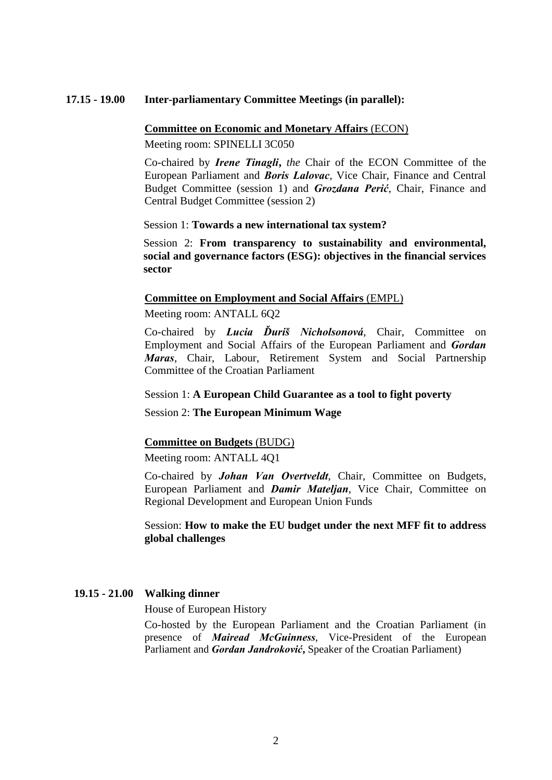#### **17.15 - 19.00 Inter-parliamentary Committee Meetings (in parallel):**

#### **Committee on Economic and Monetary Affairs** (ECON)

Meeting room: SPINELLI 3C050

Co-chaired by *Irene Tinagli***,** *the* Chair of the ECON Committee of the European Parliament and *Boris Lalovac*, Vice Chair, Finance and Central Budget Committee (session 1) and *Grozdana Perić*, Chair, Finance and Central Budget Committee (session 2)

Session 1: **Towards a new international tax system?**

Session 2: **From transparency to sustainability and environmental, social and governance factors (ESG): objectives in the financial services sector**

#### **Committee on Employment and Social Affairs** (EMPL)

Meeting room: ANTALL 6Q2

Co-chaired by *Lucia Ďuriš Nicholsonová*, Chair, Committee on Employment and Social Affairs of the European Parliament and *Gordan Maras*, Chair, Labour, Retirement System and Social Partnership Committee of the Croatian Parliament

#### Session 1: **A European Child Guarantee as a tool to fight poverty**

Session 2: **The European Minimum Wage**

#### **Committee on Budgets** (BUDG)

Meeting room: ANTALL 4Q1

Co-chaired by *Johan Van Overtveldt*, Chair, Committee on Budgets, European Parliament and *Damir Mateljan*, Vice Chair, Committee on Regional Development and European Union Funds

Session: **How to make the EU budget under the next MFF fit to address global challenges**

## **19.15 - 21.00 Walking dinner**

House of European History

Co-hosted by the European Parliament and the Croatian Parliament (in presence of *Mairead McGuinness*, Vice-President of the European Parliament and *Gordan Jandroković***,** Speaker of the Croatian Parliament)